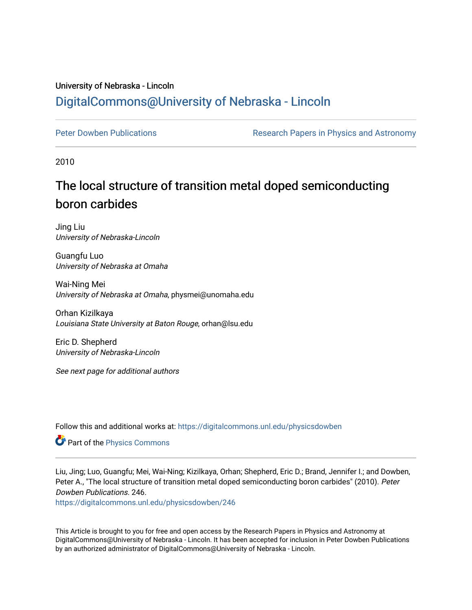### University of Nebraska - Lincoln [DigitalCommons@University of Nebraska - Lincoln](https://digitalcommons.unl.edu/)

[Peter Dowben Publications](https://digitalcommons.unl.edu/physicsdowben) **Research Papers in Physics and Astronomy** 

2010

## The local structure of transition metal doped semiconducting boron carbides

Jing Liu University of Nebraska-Lincoln

Guangfu Luo University of Nebraska at Omaha

Wai-Ning Mei University of Nebraska at Omaha, physmei@unomaha.edu

Orhan Kizilkaya Louisiana State University at Baton Rouge, orhan@lsu.edu

Eric D. Shepherd University of Nebraska-Lincoln

See next page for additional authors

Follow this and additional works at: [https://digitalcommons.unl.edu/physicsdowben](https://digitalcommons.unl.edu/physicsdowben?utm_source=digitalcommons.unl.edu%2Fphysicsdowben%2F246&utm_medium=PDF&utm_campaign=PDFCoverPages) 

Part of the [Physics Commons](http://network.bepress.com/hgg/discipline/193?utm_source=digitalcommons.unl.edu%2Fphysicsdowben%2F246&utm_medium=PDF&utm_campaign=PDFCoverPages)

Liu, Jing; Luo, Guangfu; Mei, Wai-Ning; Kizilkaya, Orhan; Shepherd, Eric D.; Brand, Jennifer I.; and Dowben, Peter A., "The local structure of transition metal doped semiconducting boron carbides" (2010). Peter Dowben Publications. 246.

[https://digitalcommons.unl.edu/physicsdowben/246](https://digitalcommons.unl.edu/physicsdowben/246?utm_source=digitalcommons.unl.edu%2Fphysicsdowben%2F246&utm_medium=PDF&utm_campaign=PDFCoverPages) 

This Article is brought to you for free and open access by the Research Papers in Physics and Astronomy at DigitalCommons@University of Nebraska - Lincoln. It has been accepted for inclusion in Peter Dowben Publications by an authorized administrator of DigitalCommons@University of Nebraska - Lincoln.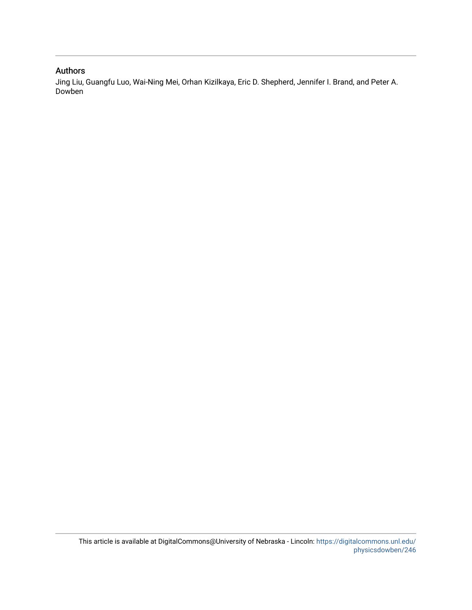#### Authors

Jing Liu, Guangfu Luo, Wai-Ning Mei, Orhan Kizilkaya, Eric D. Shepherd, Jennifer I. Brand, and Peter A. Dowben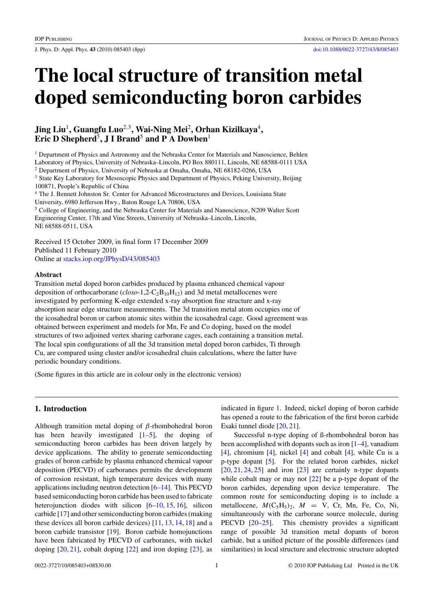J. Phys. D: Appl. Phys. **43** (2010) 085403 (8pp) [doi:10.1088/0022-3727/43/8/085403](http://dx.doi.org/10.1088/0022-3727/43/8/085403)

# **The local structure of transition metal doped semiconducting boron carbides**

#### **Jing Liu**<sup>1</sup>**, Guangfu Luo**<sup>2</sup>*,*<sup>3</sup>**, Wai-Ning Mei**<sup>2</sup>**, Orhan Kizilkaya**<sup>4</sup>**, Eric D Shepherd**<sup>5</sup>**, J I Brand**<sup>5</sup> **and P A Dowben**<sup>1</sup>

<sup>1</sup> Department of Physics and Astronomy and the Nebraska Center for Materials and Nanoscience, Behlen Laboratory of Physics, University of Nebraska–Lincoln, PO Box 880111, Lincoln, NE 68588-0111 USA

<sup>2</sup> Department of Physics, University of Nebraska at Omaha, Omaha, NE 68182-0266, USA

<sup>3</sup> State Key Laboratory for Mesoscopic Physics and Department of Physics, Peking University, Beijing 100871, People's Republic of China

<sup>4</sup> The J. Bennett Johnston Sr. Center for Advanced Microstructures and Devices, Louisiana State University, 6980 Jefferson Hwy., Baton Rouge LA 70806, USA

<sup>5</sup> College of Engineering, and the Nebraska Center for Materials and Nanoscience, N209 Walter Scott Engineering Center, 17th and Vine Streets, University of Nebraska–Lincoln, Lincoln, NE 68588-0511, USA

Received 15 October 2009, in final form 17 December 2009 Published 11 February 2010 Online at [stacks.iop.org/JPhysD/43/085403](http://stacks.iop.org/JPhysD/43/085403)

#### **Abstract**

Transition metal doped boron carbides produced by plasma enhanced chemical vapour deposition of orthocarborane (*closo*-1,2-C<sub>2</sub>B<sub>10</sub>H<sub>12</sub>) and 3d metal metallocenes were investigated by performing K-edge extended x-ray absorption fine structure and x-ray absorption near edge structure measurements. The 3d transition metal atom occupies one of the icosahedral boron or carbon atomic sites within the icosahedral cage. Good agreement was obtained between experiment and models for Mn, Fe and Co doping, based on the model structures of two adjoined vertex sharing carborane cages, each containing a transition metal. The local spin configurations of all the 3d transition metal doped boron carbides, Ti through Cu, are compared using cluster and/or icosahedral chain calculations, where the latter have periodic boundary conditions.

(Some figures in this article are in colour only in the electronic version)

#### **1. Introduction**

Although transition metal doping of *β*-rhombohedral boron has been heavily investigated  $[1-5]$ , the doping of semiconducting boron carbides has been driven largely by device applications. The ability to generate semiconducting grades of boron carbide by plasma enhanced chemical vapour deposition (PECVD) of carboranes permits the development of corrosion resistant, high temperature devices with many applications including neutron detection [\[6–](#page-8-0)[14\]](#page-9-0). This PECVD based semiconducting boron carbide has been used to fabricate heterojunction diodes with silicon [\[6](#page-8-0)[–10,](#page-9-0) [15,](#page-9-0) [16\]](#page-9-0), silicon carbide [\[17\]](#page-9-0) and other semiconducting boron carbides (making these devices all boron carbide devices) [\[11,](#page-9-0) [13,](#page-9-0) [14,](#page-9-0) [18\]](#page-9-0) and a boron carbide transistor [\[19\]](#page-9-0). Boron carbide homojunctions have been fabricated by PECVD of carboranes, with nickel doping  $[20, 21]$  $[20, 21]$  $[20, 21]$ , cobalt doping  $[22]$  and iron doping  $[23]$ , as

indicated in figure [1.](#page-3-0) Indeed, nickel doping of boron carbide has opened a route to the fabrication of the first boron carbide Esaki tunnel diode [\[20,](#page-9-0) [21\]](#page-9-0).

Successful n-type doping of ß-rhombohedral boron has been accomplished with dopants such as iron [\[1–4\]](#page-8-0), vanadium [\[4\]](#page-8-0), chromium [\[4\]](#page-8-0), nickel [\[4\]](#page-8-0) and cobalt [\[4\]](#page-8-0), while Cu is a p-type dopant [\[5\]](#page-8-0). For the related boron carbides, nickel  $[20, 21, 24, 25]$  $[20, 21, 24, 25]$  $[20, 21, 24, 25]$  $[20, 21, 24, 25]$  $[20, 21, 24, 25]$  $[20, 21, 24, 25]$  $[20, 21, 24, 25]$  and iron  $[23]$  are certainly n-type dopants while cobalt may or may not [\[22\]](#page-9-0) be a p-type dopant of the boron carbides, depending upon device temperature. The common route for semiconducting doping is to include a metallocene,  $M(C_5H_5)_2$ ,  $M = V$ , Cr, Mn, Fe, Co, Ni, simultaneously with the carborane source molecule, during PECVD [\[20–25\]](#page-9-0). This chemistry provides a significant range of possible 3d transition metal dopants of boron carbide, but a unified picture of the possible differences (and similarities) in local structure and electronic structure adopted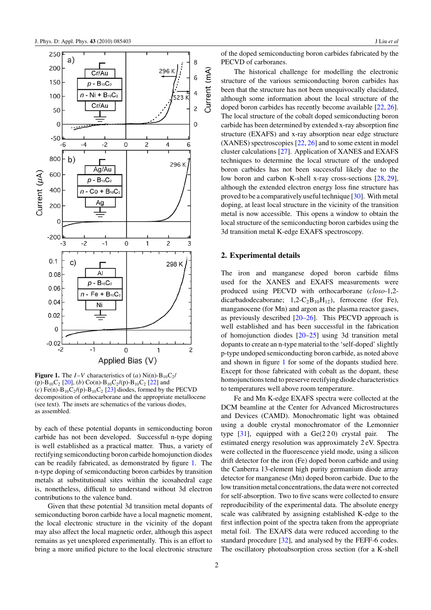<span id="page-3-0"></span>

**Figure 1.** The  $I-V$  characteristics of (*a*) Ni(n)-B<sub>10</sub>C<sub>2</sub>/ (p)-B<sub>10</sub>C<sub>2</sub> [\[20\]](#page-9-0), (b) Co(n)-B<sub>10</sub>C<sub>2</sub>/(p)-B<sub>10</sub>C<sub>2</sub> [\[22\]](#page-9-0) and (*c*) Fe(n)- $B_{10}C_2/(p)$ - $B_{10}C_2$  [\[23\]](#page-9-0) diodes, formed by the PECVD decomposition of orthocarborane and the appropriate metallocene (see text). The insets are schematics of the various diodes, as assembled.

by each of these potential dopants in semiconducting boron carbide has not been developed. Successful n-type doping is well established as a practical matter. Thus, a variety of rectifying semiconducting boron carbide homojunction diodes can be readily fabricated, as demonstrated by figure 1. The n-type doping of semiconducting boron carbides by transition metals at substitutional sites within the icosahedral cage is, nonetheless, difficult to understand without 3d electron contributions to the valence band.

Given that these potential 3d transition metal dopants of semiconducting boron carbide have a local magnetic moment, the local electronic structure in the vicinity of the dopant may also affect the local magnetic order, although this aspect remains as yet unexplored experimentally. This is an effort to bring a more unified picture to the local electronic structure of the doped semiconducting boron carbides fabricated by the PECVD of carboranes.

The historical challenge for modelling the electronic structure of the various semiconducting boron carbides has been that the structure has not been unequivocally elucidated, although some information about the local structure of the doped boron carbides has recently become available [\[22,](#page-9-0) [26\]](#page-9-0). The local structure of the cobalt doped semiconducting boron carbide has been determined by extended x-ray absorption fine structure (EXAFS) and x-ray absorption near edge structure (XANES) spectroscopies [\[22,](#page-9-0) [26\]](#page-9-0) and to some extent in model cluster calculations [\[27\]](#page-9-0). Application of XANES and EXAFS techniques to determine the local structure of the undoped boron carbides has not been successful likely due to the low boron and carbon K-shell x-ray cross-sections [\[28,](#page-9-0) [29\]](#page-9-0), although the extended electron energy loss fine structure has proved to be a comparatively useful technique [\[30\]](#page-9-0). With metal doping, at least local structure in the vicinity of the transition metal is now accessible. This opens a window to obtain the local structure of the semiconducting boron carbides using the 3d transition metal K-edge EXAFS spectroscopy.

#### **2. Experimental details**

The iron and manganese doped boron carbide films used for the XANES and EXAFS measurements were produced using PECVD with orthocarborane (*closo*-1,2 dicarbadodecaborane; 1,2-C<sub>2</sub>B<sub>10</sub>H<sub>12</sub>), ferrocene (for Fe), manganocene (for Mn) and argon as the plasma reactor gases, as previously described [\[20–26\]](#page-9-0). This PECVD approach is well established and has been successful in the fabrication of homojunction diodes [\[20–25\]](#page-9-0) using 3d transition metal dopants to create an n-type material to the 'self-doped' slightly p-type undoped semiconducting boron carbide, as noted above and shown in figure 1 for some of the dopants studied here. Except for those fabricated with cobalt as the dopant, these homojunctions tend to preserve rectifying diode characteristics to temperatures well above room temperature.

Fe and Mn K-edge EXAFS spectra were collected at the DCM beamline at the Center for Advanced Microstructures and Devices (CAMD). Monochromatic light was obtained using a double crystal monochromator of the Lemonnier type  $[31]$ , equipped with a Ge(220) crystal pair. The estimated energy resolution was approximately 2 eV. Spectra were collected in the fluorescence yield mode, using a silicon drift detector for the iron (Fe) doped boron carbide and using the Canberra 13-element high purity germanium diode array detector for manganese (Mn) doped boron carbide. Due to the low transition metal concentrations, the data were not corrected for self-absorption. Two to five scans were collected to ensure reproducibility of the experimental data. The absolute energy scale was calibrated by assigning established K-edge to the first inflection point of the spectra taken from the appropriate metal foil. The EXAFS data were reduced according to the standard procedure [\[32\]](#page-9-0), and analysed by the FEFF-6 codes. The oscillatory photoabsorption cross section (for a K-shell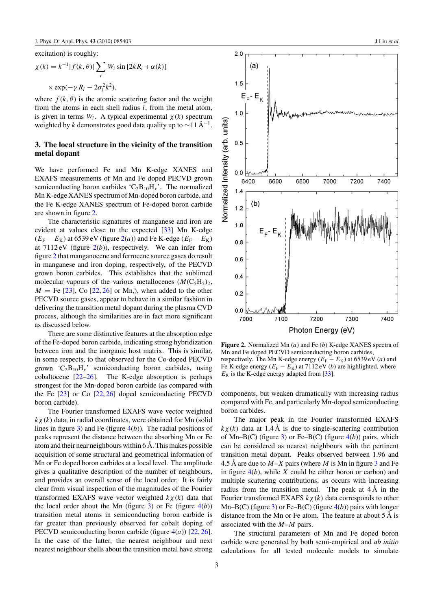excitation) is roughly:

$$
\chi(k) = k^{-1} |f(k, \theta)| \sum_{i} W_i \sin [2kR_i + \alpha(k)]
$$
  
 
$$
\times \exp(-\gamma R_i - 2\sigma_i^2 k^2),
$$

where  $f(k, \theta)$  is the atomic scattering factor and the weight from the atoms in each shell radius *i*, from the metal atom, is given in terms  $W_i$ . A typical experimental  $\chi(k)$  spectrum weighted by *k* demonstrates good data quality up to  $\sim$ 11 Å<sup>-1</sup>.

#### **3. The local structure in the vicinity of the transition metal dopant**

We have performed Fe and Mn K-edge XANES and EXAFS measurements of Mn and Fe doped PECVD grown semiconducting boron carbides ' $C_2B_{10}H_x$ '. The normalized Mn K-edge XANES spectrum of Mn-doped boron carbide, and the Fe K-edge XANES spectrum of Fe-doped boron carbide are shown in figure 2.

The characteristic signatures of manganese and iron are evident at values close to the expected [\[33\]](#page-9-0) Mn K-edge  $(E_F - E_K)$  at 6539 eV (figure 2(*a*)) and Fe K-edge ( $E_F - E_K$ ) at  $7112 \text{ eV}$  (figure  $2(b)$ ), respectively. We can infer from figure 2 that manganocene and ferrocene source gases do result in manganese and iron doping, respectively, of the PECVD grown boron carbides. This establishes that the sublimed molecular vapours of the various metallocenes  $(M(C_5H_5)_2,$  $M =$  Fe [\[23\]](#page-9-0), Co [\[22,](#page-9-0) [26\]](#page-9-0) or Mn,), when added to the other PECVD source gases, appear to behave in a similar fashion in delivering the transition metal dopant during the plasma CVD process, although the similarities are in fact more significant as discussed below.

There are some distinctive features at the absorption edge of the Fe-doped boron carbide, indicating strong hybridization between iron and the inorganic host matrix. This is similar, in some respects, to that observed for the Co-doped PECVD grown  $C_2B_{10}H_x$  semiconducting boron carbides, using cobaltocene  $[22-26]$ . The K-edge absorption is perhaps strongest for the Mn-doped boron carbide (as compared with the Fe [\[23\]](#page-9-0) or Co [\[22,](#page-9-0) [26\]](#page-9-0) doped semiconducting PECVD boron carbide).

The Fourier transformed EXAFS wave vector weighted  $k \chi(k)$  data, in radial coordinates, were obtained for Mn (solid lines in figure [3\)](#page-5-0) and Fe (figure [4\(](#page-5-0)*b*)). The radial positions of peaks represent the distance between the absorbing Mn or Fe atom and their near neighbours within 6 Å. This makes possible acquisition of some structural and geometrical information of Mn or Fe doped boron carbides at a local level. The amplitude gives a qualitative description of the number of neighbours, and provides an overall sense of the local order. It is fairly clear from visual inspection of the magnitudes of the Fourier transformed EXAFS wave vector weighted *kχ (k)* data that the local order about the Mn (figure  $3$ ) or Fe (figure  $4(b)$  $4(b)$ ) transition metal atoms in semiconducting boron carbide is far greater than previously observed for cobalt doping of PECVD semiconducting boron carbide (figure [4\(](#page-5-0)*a*)) [\[22,](#page-9-0) [26\]](#page-9-0). In the case of the latter, the nearest neighbour and next nearest neighbour shells about the transition metal have strong



**Figure 2.** Normalized Mn (*a*) and Fe (*b*) K-edge XANES spectra of Mn and Fe doped PECVD semiconducting boron carbides, respectively. The Mn K-edge energy  $(E_F - E_K)$  at 6539 eV (*a*) and Fe K-edge energy  $(E_F - E_K)$  at 7112 eV (*b*) are highlighted, where  $E_K$  is the K-edge energy adapted from [\[33\]](#page-9-0).

components, but weaken dramatically with increasing radius compared with Fe, and particularly Mn-doped semiconducting boron carbides.

The major peak in the Fourier transformed EXAFS  $k\chi(k)$  data at 1.4 Å is due to single-scattering contribution of Mn–B(C) (figure  $3$ ) or Fe–B(C) (figure  $4(b)$  $4(b)$ ) pairs, which can be considered as nearest neighbours with the pertinent transition metal dopant. Peaks observed between 1.96 and 4.5 Å are due to *M*–*X* pairs (where *M* is Mn in figure [3](#page-5-0) and Fe in figure [4\(](#page-5-0)*b*), while *X* could be either boron or carbon) and multiple scattering contributions, as occurs with increasing radius from the transition metal. The peak at  $4\text{\AA}$  in the Fourier transformed EXAFS *kχ (k)* data corresponds to other Mn–B(C) (figure [3\)](#page-5-0) or Fe–B(C) (figure [4\(](#page-5-0)*b*)) pairs with longer distance from the Mn or Fe atom. The feature at about 5 Å is associated with the *M*–*M* pairs.

The structural parameters of Mn and Fe doped boron carbide were generated by both semi-empirical and *ab initio* calculations for all tested molecule models to simulate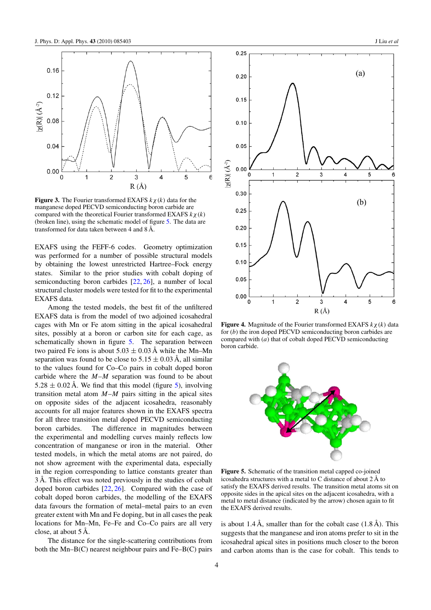<span id="page-5-0"></span>

**Figure 3.** The Fourier transformed EXAFS *kχ (k)* data for the manganese doped PECVD semiconducting boron carbide are compared with the theoretical Fourier transformed EXAFS *kχ (k)* (broken line), using the schematic model of figure 5. The data are transformed for data taken between 4 and 8 Å.

EXAFS using the FEFF-6 codes. Geometry optimization was performed for a number of possible structural models by obtaining the lowest unrestricted Hartree–Fock energy states. Similar to the prior studies with cobalt doping of semiconducting boron carbides [\[22,](#page-9-0) [26\]](#page-9-0), a number of local structural cluster models were tested for fit to the experimental EXAFS data.

Among the tested models, the best fit of the unfiltered EXAFS data is from the model of two adjoined icosahedral cages with Mn or Fe atom sitting in the apical icosahedral sites, possibly at a boron or carbon site for each cage, as schematically shown in figure 5. The separation between two paired Fe ions is about  $5.03 \pm 0.03$  Å while the Mn–Mn separation was found to be close to  $5.15 \pm 0.03$  Å, all similar to the values found for Co–Co pairs in cobalt doped boron carbide where the *M*–*M* separation was found to be about  $5.28 \pm 0.02$  Å. We find that this model (figure 5), involving transition metal atom *M*–*M* pairs sitting in the apical sites on opposite sides of the adjacent icosahedra, reasonably accounts for all major features shown in the EXAFS spectra for all three transition metal doped PECVD semiconducting boron carbides. The difference in magnitudes between the experimental and modelling curves mainly reflects low concentration of manganese or iron in the material. Other tested models, in which the metal atoms are not paired, do not show agreement with the experimental data, especially in the region corresponding to lattice constants greater than 3 Å. This effect was noted previously in the studies of cobalt doped boron carbides [\[22,](#page-9-0) [26\]](#page-9-0). Compared with the case of cobalt doped boron carbides, the modelling of the EXAFS data favours the formation of metal–metal pairs to an even greater extent with Mn and Fe doping, but in all cases the peak locations for Mn–Mn, Fe–Fe and Co–Co pairs are all very close, at about 5 Å.

The distance for the single-scattering contributions from both the Mn–B(C) nearest neighbour pairs and Fe–B(C) pairs



 $0.25$ 

**Figure 4.** Magnitude of the Fourier transformed EXAFS *kχ (k)* data for (*b*) the iron doped PECVD semiconducting boron carbides are compared with (*a*) that of cobalt doped PECVD semiconducting boron carbide.

6



**Figure 5.** Schematic of the transition metal capped co-joined icosahedra structures with a metal to C distance of about 2 Å to satisfy the EXAFS derived results. The transition metal atoms sit on opposite sides in the apical sites on the adjacent icosahedra, with a metal to metal distance (indicated by the arrow) chosen again to fit the EXAFS derived results.

is about 1.4 Å, smaller than for the cobalt case  $(1.8 \text{ Å})$ . This suggests that the manganese and iron atoms prefer to sit in the icosahedral apical sites in positions much closer to the boron and carbon atoms than is the case for cobalt. This tends to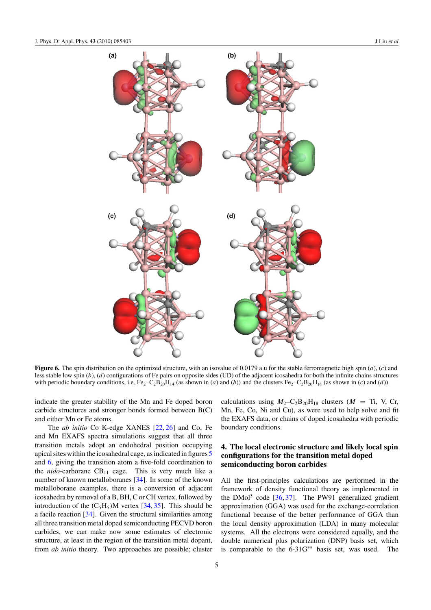<span id="page-6-0"></span>

**Figure 6.** The spin distribution on the optimized structure, with an isovalue of 0.0179 a.u for the stable ferromagnetic high spin (*a*), (*c*) and less stable low spin (*b*), (*d*) configurations of Fe pairs on opposite sides (UD) of the adjacent icosahedra for both the infinite chains structures with periodic boundary conditions, i.e.  $Fe_2-C_2B_{20}H_{14}$  (as shown in (*a*) and (*b*)) and the clusters  $Fe_2-C_2B_{20}H_{18}$  (as shown in (*c*) and (*d*)).

indicate the greater stability of the Mn and Fe doped boron carbide structures and stronger bonds formed between B(C) and either Mn or Fe atoms.

The *ab initio* Co K-edge XANES [\[22,](#page-9-0) [26\]](#page-9-0) and Co, Fe and Mn EXAFS spectra simulations suggest that all three transition metals adopt an endohedral position occupying apical sites within the icosahedral cage, as indicated in figures [5](#page-5-0) and 6, giving the transition atom a five-fold coordination to the  $nido$ -carborane  $CB_{11}$  cage. This is very much like a number of known metalloboranes [\[34\]](#page-9-0). In some of the known metalloborane examples, there is a conversion of adjacent icosahedra by removal of a B, BH, C or CH vertex, followed by introduction of the  $(C_5H_5)$ M vertex [\[34,](#page-9-0) [35\]](#page-9-0). This should be a facile reaction [\[34\]](#page-9-0). Given the structural similarities among all three transition metal doped semiconducting PECVD boron carbides, we can make now some estimates of electronic structure, at least in the region of the transition metal dopant, from *ab initio* theory. Two approaches are possible: cluster

calculations using  $M_2$ -C<sub>2</sub>B<sub>20</sub>H<sub>18</sub> clusters ( $M = Ti$ , V, Cr, Mn, Fe, Co, Ni and Cu), as were used to help solve and fit the EXAFS data, or chains of doped icosahedra with periodic boundary conditions.

#### **4. The local electronic structure and likely local spin configurations for the transition metal doped semiconducting boron carbides**

All the first-principles calculations are performed in the framework of density functional theory as implemented in the DMol<sup>3</sup> code  $[36, 37]$  $[36, 37]$  $[36, 37]$ . The PW91 generalized gradient approximation (GGA) was used for the exchange-correlation functional because of the better performance of GGA than the local density approximation (LDA) in many molecular systems. All the electrons were considered equally, and the double numerical plus polarization (DNP) basis set, which is comparable to the 6-31G∗∗ basis set, was used. The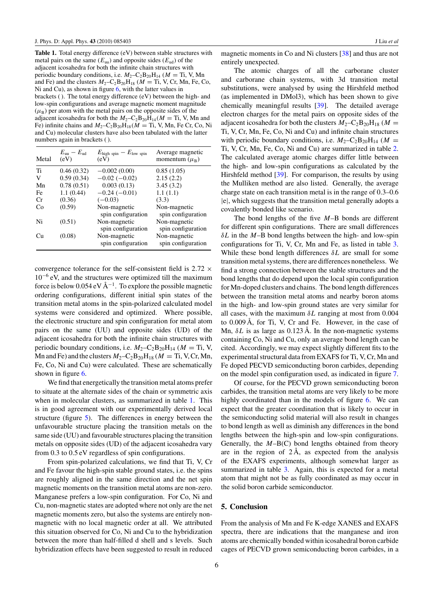**Table 1.** Total energy difference (eV) between stable structures with metal pairs on the same  $(E_{uu})$  and opposite sides  $(E_{ud})$  of the adjacent icosahedra for both the infinite chain structures with periodic boundary conditions, i.e.  $M_2$ –C<sub>2</sub>B<sub>20</sub>H<sub>14</sub> ( $M = Ti$ , V, Mn and Fe) and the clusters  $M_2$ –C<sub>2</sub>B<sub>20</sub>H<sub>18</sub> ( $M =$  Ti, V, Cr, Mn, Fe, Co, Ni and Cu), as shown in figure [6,](#page-6-0) with the latter values in brackets ( ). The total energy difference (eV) between the high- and low-spin configurations and average magnetic moment magnitude  $(\mu_B)$  per atom with the metal pairs on the opposite sides of the adjacent icosahedra for both the  $M_2$ –C<sub>2</sub>B<sub>20</sub>H<sub>14</sub>( $M =$ Ti, V, Mn and Fe) infinite chains and  $M_2$ –C<sub>2</sub>B<sub>20</sub>H<sub>18</sub>( $M =$ Ti, V, Mn, Fe Cr, Co, Ni and Cu) molecular clusters have also been tabulated with the latter numbers again in brackets ( ).

| Metal | $E_{\rm m}-E_{\rm nd}$<br>(eV) | $E_{\text{high spin}} - E_{\text{low spin}}$<br>(eV) | Average magnetic<br>momentum $(\mu_{\rm B})$ |
|-------|--------------------------------|------------------------------------------------------|----------------------------------------------|
| Ti    | 0.46(0.32)                     | $-0.002(0.00)$                                       | 0.85(1.05)                                   |
| V     | 0.59(0.34)                     | $-0.02(-0.02)$                                       | 2.15(2.2)                                    |
| Mn    | 0.78(0.51)                     | 0.003(0.13)                                          | 3.45(3.2)                                    |
| Fe    | 1.1(0.44)                      | $-0.24(-0.01)$                                       | 1.1(1.1)                                     |
| Cr    | (0.36)                         | $(-0.03)$                                            | (3.3)                                        |
| Co    | (0.59)                         | Non-magnetic<br>spin configuration                   | Non-magnetic<br>spin configuration           |
| Ni    | (0.51)                         | Non-magnetic<br>spin configuration                   | Non-magnetic<br>spin configuration           |
| Cu    | (0.08)                         | Non-magnetic<br>spin configuration                   | Non-magnetic<br>spin configuration           |

convergence tolerance for the self-consistent field is 2*.*72 × 10−<sup>6</sup> eV, and the structures were optimized till the maximum force is below 0.054 eV  $\AA^{-1}$ . To explore the possible magnetic ordering configurations, different initial spin states of the transition metal atoms in the spin-polarized calculated model systems were considered and optimized. Where possible, the electronic structure and spin configuration for metal atom pairs on the same (UU) and opposite sides (UD) of the adjacent icosahedra for both the infinite chain structures with periodic boundary conditions, i.e.  $M_2$ –C<sub>2</sub>B<sub>20</sub>H<sub>14</sub> ( $M =$  Ti, V, Mn and Fe) and the clusters  $M_2$ –C<sub>2</sub>B<sub>20</sub>H<sub>18</sub> ( $M = Ti$ , V, Cr, Mn, Fe, Co, Ni and Cu) were calculated. These are schematically shown in figure [6.](#page-6-0)

We find that energetically the transition metal atoms prefer to situate at the alternate sides of the chain or symmetric axis when in molecular clusters, as summarized in table 1. This is in good agreement with our experimentally derived local structure (figure [5\)](#page-5-0). The differences in energy between the unfavourable structure placing the transition metals on the same side (UU) and favourable structures placing the transition metals on opposite sides (UD) of the adjacent icosahedra vary from 0.3 to 0.5 eV regardless of spin configurations.

From spin-polarized calculations, we find that Ti, V, Cr and Fe favour the high-spin stable ground states, i.e. the spins are roughly aligned in the same direction and the net spin magnetic moments on the transition metal atoms are non-zero. Manganese prefers a low-spin configuration. For Co, Ni and Cu, non-magnetic states are adopted where not only are the net magnetic moments zero, but also the systems are entirely nonmagnetic with no local magnetic order at all. We attributed this situation observed for Co, Ni and Cu to the hybridization between the more than half-filled d shell and s levels. Such hybridization effects have been suggested to result in reduced magnetic moments in Co and Ni clusters [\[38\]](#page-9-0) and thus are not entirely unexpected.

The atomic charges of all the carborane cluster and carborane chain systems, with 3d transition metal substitutions, were analysed by using the Hirshfeld method (as implemented in DMol3), which has been shown to give chemically meaningful results [\[39\]](#page-9-0). The detailed average electron charges for the metal pairs on opposite sides of the adjacent icosahedra for both the clusters  $M_2$ –C<sub>2</sub>B<sub>20</sub>H<sub>18</sub> ( $M =$ Ti, V, Cr, Mn, Fe, Co, Ni and Cu) and infinite chain structures with periodic boundary conditions, i.e.  $M_2$ –C<sub>2</sub>B<sub>20</sub>H<sub>14</sub> ( $M =$ Ti, V, Cr, Mn, Fe, Co, Ni and Cu) are summarized in table [2.](#page-8-0) The calculated average atomic charges differ little between the high- and low-spin configurations as calculated by the Hirshfeld method [\[39\]](#page-9-0). For comparison, the results by using the Mulliken method are also listed. Generally, the average charge state on each transition metal is in the range of 0.3–0.6 |e|, which suggests that the transition metal generally adopts a covalently bonded like scenario.

The bond lengths of the five *M*–B bonds are different for different spin configurations. There are small differences *δL* in the *M*–B bond lengths between the high- and low-spin configurations for Ti, V, Cr, Mn and Fe, as listed in table [3.](#page-8-0) While these bond length differences *δL* are small for some transition metal systems, there are differences nonetheless. We find a strong connection between the stable structures and the bond lengths that do depend upon the local spin configuration for Mn-doped clusters and chains. The bond length differences between the transition metal atoms and nearby boron atoms in the high- and low-spin ground states are very similar for all cases, with the maximum *δL* ranging at most from 0.004 to 0.009 Å, for Ti, V, Cr and Fe. However, in the case of Mn, *δL* is as large as 0.123 Å. In the non-magnetic systems containing Co, Ni and Cu, only an average bond length can be cited. Accordingly, we may expect slightly different fits to the experimental structural data from EXAFS for Ti, V, Cr, Mn and Fe doped PECVD semiconducting boron carbides, depending on the model spin configuration used, as indicated in figure [7.](#page-8-0)

Of course, for the PECVD grown semiconducting boron carbides, the transition metal atoms are very likely to be more highly coordinated than in the models of figure [6.](#page-6-0) We can expect that the greater coordination that is likely to occur in the semiconducting solid material will also result in changes to bond length as well as diminish any differences in the bond lengths between the high-spin and low-spin configurations. Generally, the *M*–B(C) bond lengths obtained from theory are in the region of  $2 \text{ Å}$ , as expected from the analysis of the EXAFS experiments, although somewhat larger as summarized in table [3.](#page-8-0) Again, this is expected for a metal atom that might not be as fully coordinated as may occur in the solid boron carbide semiconductor.

#### **5. Conclusion**

From the analysis of Mn and Fe K-edge XANES and EXAFS spectra, there are indications that the manganese and iron atoms are chemically bonded within icosahedral boron carbide cages of PECVD grown semiconducting boron carbides, in a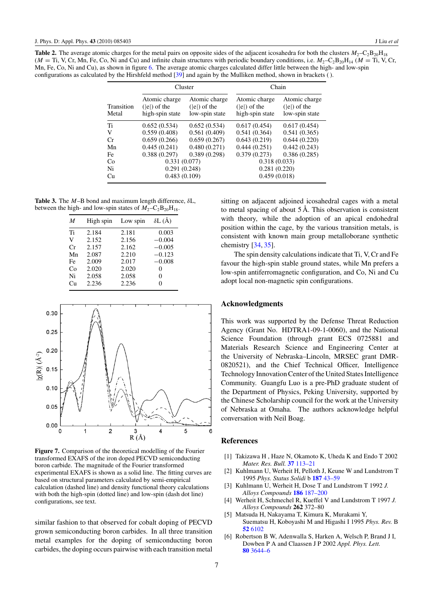<span id="page-8-0"></span>**Table 2.** The average atomic charges for the metal pairs on opposite sides of the adjacent icosahedra for both the clusters  $M_2$ –C<sub>2</sub>B<sub>20</sub>H<sub>18</sub>  $(M = Ti, V, Cr, Mn, Fe, Co, Ni and Cu)$  and infinite chain structures with periodic boundary conditions, i.e.  $M_2-C_2B_{20}H_{14}$  ( $M = Ti, V, Cr,$ Mn, Fe, Co, Ni and Cu), as shown in figure [6.](#page-6-0) The average atomic charges calculated differ little between the high- and low-spin configurations as calculated by the Hirshfeld method [\[39\]](#page-9-0) and again by the Mulliken method, shown in brackets ( ).

|                     | Cluster                                            |                                                   | Chain                                              |                                                   |
|---------------------|----------------------------------------------------|---------------------------------------------------|----------------------------------------------------|---------------------------------------------------|
| Transition<br>Metal | Atomic charge<br>$( e )$ of the<br>high-spin state | Atomic charge<br>$( e )$ of the<br>low-spin state | Atomic charge<br>$( e )$ of the<br>high-spin state | Atomic charge<br>$( e )$ of the<br>low-spin state |
| Ti                  | 0.652(0.534)                                       | 0.652(0.534)                                      | 0.617(0.454)                                       | 0.617(0.454)                                      |
| V                   | 0.559(0.408)                                       | 0.561(0.409)                                      | 0.541(0.364)                                       | 0.541(0.365)                                      |
| Cr                  | 0.659(0.266)                                       | 0.659(0.267)                                      | 0.643(0.219)                                       | 0.644(0.220)                                      |
| Mn                  | 0.445(0.241)                                       | 0.480(0.271)                                      | 0.444(0.251)                                       | 0.442(0.243)                                      |
| Fe                  | 0.388(0.297)                                       | 0.389(0.298)                                      | 0.379(0.273)                                       | 0.386(0.285)                                      |
| Co                  | 0.331(0.077)                                       |                                                   | 0.318(0.033)                                       |                                                   |
| Ni                  | 0.291(0.248)                                       |                                                   | 0.281(0.220)                                       |                                                   |
| Cu                  | 0.483(0.109)                                       |                                                   | 0.459(0.018)                                       |                                                   |

**Table 3.** The *M*–B bond and maximum length difference, *δ*L, between the high- and low-spin states of  $M_2-C_2B_{20}H_{18}$ .

| M  | High spin | Low spin | $\delta$ L $(\AA)$ |
|----|-----------|----------|--------------------|
| Ti | 2.184     | 2.181    | 0.003              |
| V  | 2.152     | 2.156    | $-0.004$           |
| Cr | 2.157     | 2.162    | $-0.005$           |
| Mn | 2.087     | 2.210    | $-0.123$           |
| Fe | 2.009     | 2.017    | $-0.008$           |
| Co | 2.020     | 2.020    | 0                  |
| Ni | 2.058     | 2.058    | 0                  |
| Cп | 2.236     | 2.236    | 0                  |



**Figure 7.** Comparison of the theoretical modelling of the Fourier transformed EXAFS of the iron doped PECVD semiconducting boron carbide. The magnitude of the Fourier transformed experimental EXAFS is shown as a solid line. The fitting curves are based on structural parameters calculated by semi-empirical calculation (dashed line) and density functional theory calculations with both the high-spin (dotted line) and low-spin (dash dot line) configurations, see text.

similar fashion to that observed for cobalt doping of PECVD grown semiconducting boron carbides. In all three transition metal examples for the doping of semiconducting boron carbides, the doping occurs pairwise with each transition metal sitting on adjacent adjoined icosahedral cages with a metal to metal spacing of about  $5 \text{ Å}$ . This observation is consistent with theory, while the adoption of an apical endohedral position within the cage, by the various transition metals, is consistent with known main group metalloborane synthetic chemistry [\[34,](#page-9-0) [35\]](#page-9-0).

The spin density calculations indicate that Ti, V, Cr and Fe favour the high-spin stable ground states, while Mn prefers a low-spin antiferromagnetic configuration, and Co, Ni and Cu adopt local non-magnetic spin configurations.

#### **Acknowledgments**

This work was supported by the Defense Threat Reduction Agency (Grant No. HDTRA1-09-1-0060), and the National Science Foundation (through grant ECS 0725881 and Materials Research Science and Engineering Center at the University of Nebraska–Lincoln, MRSEC grant DMR-0820521), and the Chief Technical Officer, Intelligence Technology Innovation Center of the United States Intelligence Community. Guangfu Luo is a pre-PhD graduate student of the Department of Physics, Peking University, supported by the Chinese Scholarship council for the work at the University of Nebraska at Omaha. The authors acknowledge helpful conversation with Neil Boag.

#### **References**

- [1] Takizawa H , Haze N, Okamoto K, Uheda K and Endo T 2002 *Mater. Res. Bull.* **37** [113–21](http://dx.doi.org/10.1016/S0025-5408(01)00803-0)
- [2] Kuhlmann U, Werheit H, Pelloth J, Keune W and Lundstrom T 1995 *Phys. Status Solidi* b **187** [43–59](http://dx.doi.org/10.1002/pssb.2221870104)
- [3] Kuhlmann U, Werheit H, Dose T and Lundstrom T 1992 *J. Alloys Compounds* **186** [187–200](http://dx.doi.org/10.1016/0925-8388(92)90004-S)
- [4] Werheit H, Schmechel R, Kueffel V and Lundstrom T 1997 *J. Alloys Compounds* **262** 372–80
- [5] Matsuda H, Nakayama T, Kimura K, Murakami Y, Suematsu H, Koboyashi M and Higashi I 1995 *Phys. Rev.* B **52** [6102](http://dx.doi.org/10.1103/PhysRevB.52.6102)
- [6] Robertson B W, Adenwalla S, Harken A, Welsch P, Brand J I, Dowben P A and Claassen J P 2002 *Appl. Phys. Lett.* **80** [3644–6](http://dx.doi.org/10.1063/1.1477942)